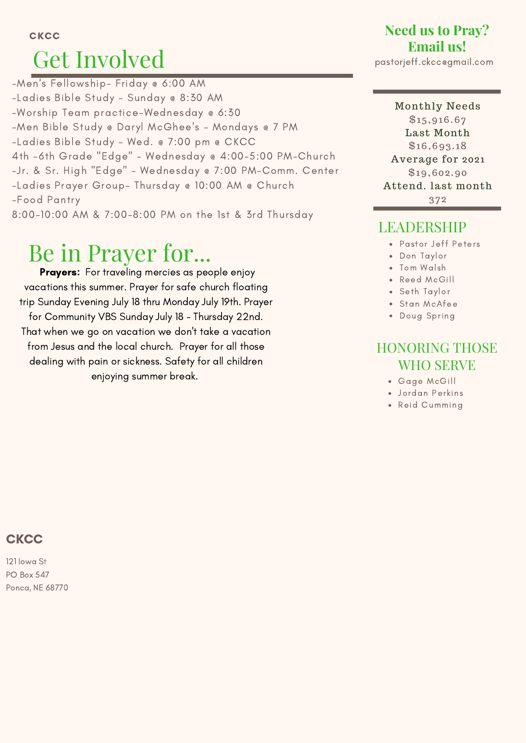#### **CKCC**

# Get Involved

-Men's Fellowship- Friday @ 6:00 AM -Ladies Bible Study - Sunday @ 8:30 AM -Worship Team practice-Wednesday @ 6:30 -Men Bible Study @ Daryl McGhee's - Mondays @ 7 PM -Ladies Bible Study - Wed. @ 7:00 pm @ CKCC 4th -6th Grade "Edge" - Wednesday @ 4:00-5:00 PM-Church -Jr. & Sr. High "Edge" - Wednesday @ 7:00 PM-Comm. Center -Ladies Prayer Group- Thursday @ 10:00 AM @ Church -Food Pantry 8:00-10:00 AM & 7:00-8:00 PM on the 1st & 3rd Thursday

## Be in Prayer for...

Prayers: For traveling mercies as people enjoy vacations this summer. Prayer for safe church floating trip Sunday Evening July 18 thru Monday July 19th. Prayer for Community VBS Sunday July 18 - Thursday 22nd. That when we go on vacation we don't take a vacation from Jesus and the local church. Prayer for all those dealing with pain or sickness. Safety for all children enjoying summer break.

## **Need us to Pray? Email us!**

pastorjeff.ckcc@gmail.com

#### Monthly Needs \$15,916.67 Last Month \$16,693. 18 Average for 2021 \$19,602.90 Attend. last month 372

## LEADERSHIP

- Pastor Jeff Peters
- Don Taylor
- Tom Walsh
- Reed McGill
- Seth Taylor
- Stan McAfee
- Doug Spring

### HONORING THOSE WHO SERVE

- Gage McGill
- Jordan Perkins
- Reid Cumming

## **CKCC**

121 Iowa St PO Box 547 Ponca, NE 68770